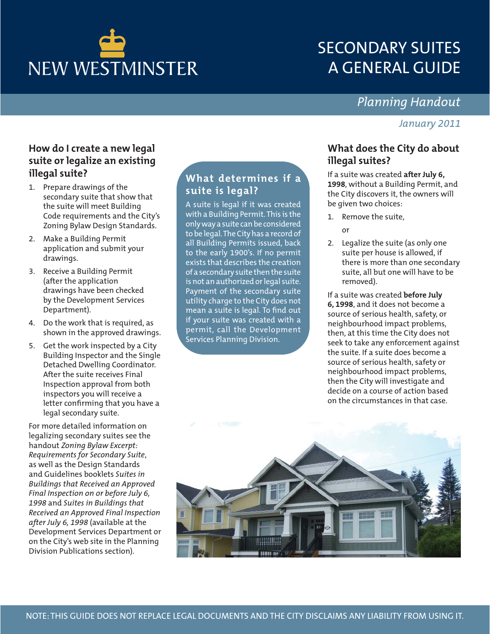

# SECONDARY SUITES A GENERAL GUIDE

# *Planning Handout*

### *January 2011*

## **How do I create a new legal suite or legalize an existing illegal suite?**

- 1. Prepare drawings of the secondary suite that show that the suite will meet Building Code requirements and the City's Zoning Bylaw Design Standards.
- 2. Make a Building Permit application and submit your drawings.
- 3. Receive a Building Permit (after the application drawings have been checked by the Development Services Department).
- 4. Do the work that is required, as shown in the approved drawings.
- 5. Get the work inspected by a City Building Inspector and the Single Detached Dwelling Coordinator. After the suite receives Final Inspection approval from both inspectors you will receive a letter confirming that you have a legal secondary suite.

For more detailed information on legalizing secondary suites see the handout *Zoning Bylaw Excerpt: Requirements for Secondary Suite*, as well as the Design Standards and Guidelines booklets *Suites in Buildings that Received an Approved Final Inspection on or before July 6, 1998* and *Suites in Buildings that Received an Approved Final Inspection after July 6, 1998* (available at the Development Services Department or on the City's web site in the Planning Division Publications section).

# **What determines if a suite is legal?**

A suite is legal if it was created with a Building Permit. This is the only way a suite can be considered to be legal. The City has a record of all Building Permits issued, back to the early 1900's. If no permit exists that describes the creation of a secondary suite then the suite is not an authorized or legal suite. Payment of the secondary suite utility charge to the City does not mean a suite is legal. To find out if your suite was created with a permit, call the Development Services Planning Division.

# **What does the City do about illegal suites?**

If a suite was created **after July 6, 1998**, without a Building Permit, and the City discovers it, the owners will be given two choices:

- 1. Remove the suite,
	- or
- 2. Legalize the suite (as only one suite per house is allowed, if there is more than one secondary suite, all but one will have to be removed).

If a suite was created **before July 6, 1998**, and it does not become a source of serious health, safety, or neighbourhood impact problems, then, at this time the City does not seek to take any enforcement against the suite. If a suite does become a source of serious health, safety or neighbourhood impact problems, then the City will investigate and decide on a course of action based on the circumstances in that case.